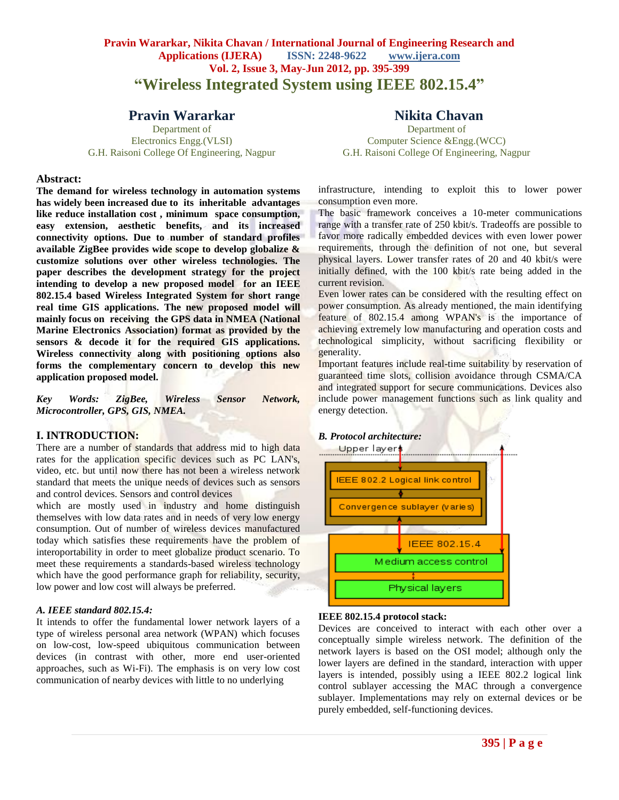## **Pravin Wararkar, Nikita Chavan / International Journal of Engineering Research and Applications (IJERA) ISSN: 2248-9622 www.ijera.com Vol. 2, Issue 3, May-Jun 2012, pp. 395-399 "Wireless Integrated System using IEEE 802.15.4"**

## **Pravin Wararkar**

Department of Electronics Engg.(VLSI) G.H. Raisoni College Of Engineering, Nagpur

#### **Abstract:**

**The demand for wireless technology in automation systems has widely been increased due to its inheritable advantages like reduce installation cost , minimum space consumption, easy extension, aesthetic benefits, and its increased connectivity options. Due to number of standard profiles available ZigBee provides wide scope to develop globalize & customize solutions over other wireless technologies. The paper describes the development strategy for the project intending to develop a new proposed model for an IEEE 802.15.4 based Wireless Integrated System for short range real time GIS applications. The new proposed model will mainly focus on receiving the GPS data in NMEA (National Marine Electronics Association) format as provided by the sensors & decode it for the required GIS applications. Wireless connectivity along with positioning options also forms the complementary concern to develop this new application proposed model.** 

*Key Words: ZigBee, Wireless Sensor Network, Microcontroller, GPS, GIS, NMEA.*

#### **I. INTRODUCTION:**

There are a number of standards that address mid to high data rates for the application specific devices such as PC LAN's, video, etc. but until now there has not been a wireless network standard that meets the unique needs of devices such as sensors and control devices. Sensors and control devices

which are mostly used in industry and home distinguish themselves with low data rates and in needs of very low energy consumption. Out of number of wireless devices manufactured today which satisfies these requirements have the problem of interoportability in order to meet globalize product scenario. To meet these requirements a standards-based wireless technology which have the good performance graph for reliability, security, low power and low cost will always be preferred.

#### *A. IEEE standard 802.15.4:*

It intends to offer the fundamental lower network layers of a type of wireless personal area network (WPAN) which focuses on low-cost, low-speed ubiquitous communication between devices (in contrast with other, more end user-oriented approaches, such as Wi-Fi). The emphasis is on very low cost communication of nearby devices with little to no underlying

## **Nikita Chavan**

Department of Computer Science &Engg.(WCC) G.H. Raisoni College Of Engineering, Nagpur

infrastructure, intending to exploit this to lower power consumption even more.

The basic framework conceives a 10-meter communications range with a transfer rate of 250 kbit/s. Tradeoffs are possible to favor more radically embedded devices with even lower power requirements, through the definition of not one, but several physical layers. Lower transfer rates of 20 and 40 kbit/s were initially defined, with the 100 kbit/s rate being added in the current revision.

Even lower rates can be considered with the resulting effect on power consumption. As already mentioned, the main identifying feature of 802.15.4 among WPAN's is the importance of achieving extremely low manufacturing and operation costs and technological simplicity, without sacrificing flexibility or generality.

Important features include real-time suitability by reservation of guaranteed time slots, collision avoidance through CSMA/CA and integrated support for secure communications. Devices also include power management functions such as link quality and energy detection.

#### *B. Protocol architecture:*



#### **IEEE 802.15.4 protocol stack:**

Devices are conceived to interact with each other over a conceptually simple wireless network. The definition of the network layers is based on the OSI model; although only the lower layers are defined in the standard, interaction with upper layers is intended, possibly using a IEEE 802.2 logical link control sublayer accessing the MAC through a convergence sublayer. Implementations may rely on external devices or be purely embedded, self-functioning devices.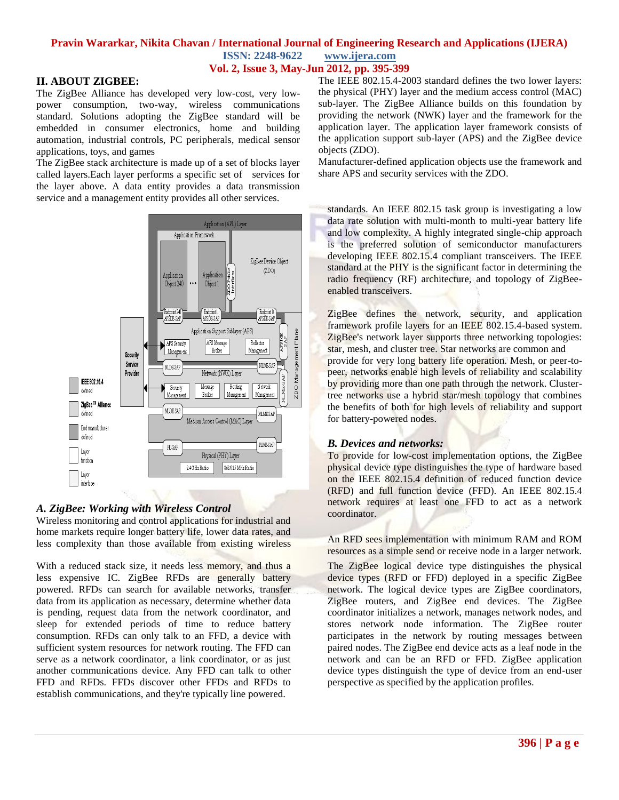### **Pravin Wararkar, Nikita Chavan / International Journal of Engineering Research and Applications (IJERA) ISSN: 2248-9622 www.ijera.com**

## **Vol. 2, Issue 3, May-Jun 2012, pp. 395-399**

### **II. ABOUT ZIGBEE:**

The ZigBee Alliance has developed very low-cost, very lowpower consumption, two-way, wireless communications standard. Solutions adopting the ZigBee standard will be embedded in consumer electronics, home and building automation, industrial controls, PC peripherals, medical sensor applications, toys, and games

The ZigBee stack architecture is made up of a set of blocks layer called layers. Each layer performs a specific set of services for the layer above. A data entity provides a data transmission service and a management entity provides all other services.



### *A. ZigBee: Working with Wireless Control*

Wireless monitoring and control applications for industrial and home markets require longer battery life, lower data rates, and less complexity than those available from existing wireless

With a reduced stack size, it needs less memory, and thus a less expensive IC. ZigBee RFDs are generally battery powered. RFDs can search for available networks, transfer data from its application as necessary, determine whether data is pending, request data from the network coordinator, and sleep for extended periods of time to reduce battery consumption. RFDs can only talk to an FFD, a device with sufficient system resources for network routing. The FFD can serve as a network coordinator, a link coordinator, or as just another communications device. Any FFD can talk to other FFD and RFDs. FFDs discover other FFDs and RFDs to establish communications, and they're typically line powered.

The IEEE 802.15.4-2003 standard defines the two lower layers: the physical (PHY) layer and the medium access control (MAC) sub-layer. The ZigBee Alliance builds on this foundation by providing the network (NWK) layer and the framework for the application layer. The application layer framework consists of the application support sub-layer (APS) and the ZigBee device objects (ZDO).

Manufacturer-defined application objects use the framework and share APS and security services with the ZDO.

standards. An IEEE 802.15 task group is investigating a low data rate solution with multi-month to multi-year battery life and low complexity. A highly integrated single-chip approach is the preferred solution of semiconductor manufacturers developing IEEE 802.15.4 compliant transceivers. The IEEE standard at the PHY is the significant factor in determining the radio frequency (RF) architecture, and topology of ZigBeeenabled transceivers.

ZigBee defines the network, security, and application framework profile layers for an IEEE 802.15.4-based system. ZigBee's network layer supports three networking topologies: star, mesh, and cluster tree. Star networks are common and provide for very long battery life operation. Mesh, or peer-topeer, networks enable high levels of reliability and scalability by providing more than one path through the network. Clustertree networks use a hybrid star/mesh topology that combines the benefits of both for high levels of reliability and support for battery-powered nodes.

### *B. Devices and networks:*

To provide for low-cost implementation options, the ZigBee physical device type distinguishes the type of hardware based on the IEEE 802.15.4 definition of reduced function device (RFD) and full function device (FFD). An IEEE 802.15.4 network requires at least one FFD to act as a network coordinator.

An RFD sees implementation with minimum RAM and ROM resources as a simple send or receive node in a larger network.

The ZigBee logical device type distinguishes the physical device types (RFD or FFD) deployed in a specific ZigBee network. The logical device types are ZigBee coordinators, ZigBee routers, and ZigBee end devices. The ZigBee coordinator initializes a network, manages network nodes, and stores network node information. The ZigBee router participates in the network by routing messages between paired nodes. The ZigBee end device acts as a leaf node in the network and can be an RFD or FFD. ZigBee application device types distinguish the type of device from an end-user perspective as specified by the application profiles.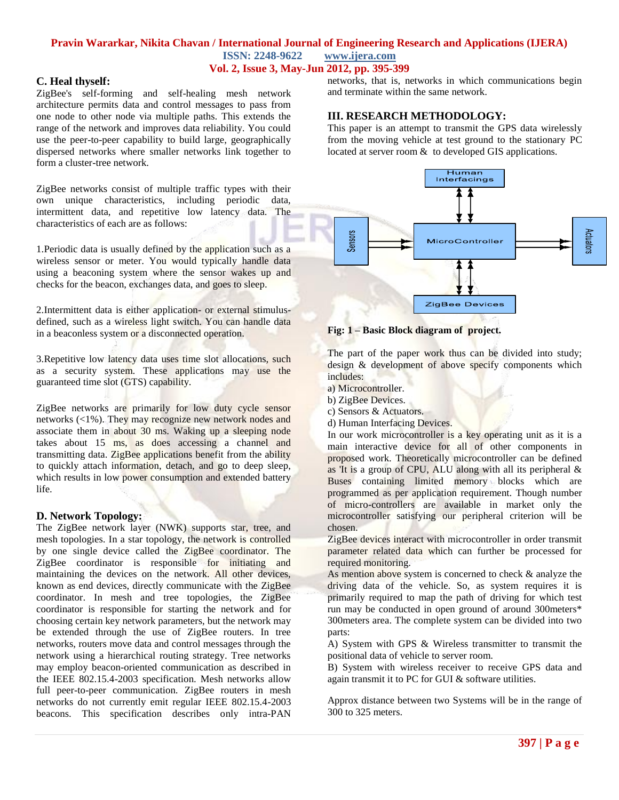#### **Pravin Wararkar, Nikita Chavan / International Journal of Engineering Research and Applications (IJERA) ISSN: 2248-9622 www.ijera.com Vol. 2, Issue 3, May-Jun 2012, pp. 395-399**

### **C. Heal thyself:**

ZigBee's self-forming and self-healing mesh network architecture permits data and control messages to pass from one node to other node via multiple paths. This extends the range of the network and improves data reliability. You could use the peer-to-peer capability to build large, geographically dispersed networks where smaller networks link together to form a cluster-tree network.

ZigBee networks consist of multiple traffic types with their own unique characteristics, including periodic data, intermittent data, and repetitive low latency data. The characteristics of each are as follows:

1. Periodic data is usually defined by the application such as a wireless sensor or meter. You would typically handle data using a beaconing system where the sensor wakes up and checks for the beacon, exchanges data, and goes to sleep.

2.Intermittent data is either application- or external stimulusdefined, such as a wireless light switch. You can handle data in a beaconless system or a disconnected operation.

3.Repetitive low latency data uses time slot allocations, such as a security system. These applications may use the guaranteed time slot (GTS) capability.

ZigBee networks are primarily for low duty cycle sensor networks (<1%). They may recognize new network nodes and associate them in about 30 ms. Waking up a sleeping node takes about 15 ms, as does accessing a channel and transmitting data. ZigBee applications benefit from the ability to quickly attach information, detach, and go to deep sleep, which results in low power consumption and extended battery life.

#### **D. Network Topology:**

The ZigBee network layer (NWK) supports star, tree, and mesh topologies. In a star topology, the network is controlled by one single device called the ZigBee coordinator. The ZigBee coordinator is responsible for initiating and maintaining the devices on the network. All other devices, known as end devices, directly communicate with the ZigBee coordinator. In mesh and tree topologies, the ZigBee coordinator is responsible for starting the network and for choosing certain key network parameters, but the network may be extended through the use of ZigBee routers. In tree networks, routers move data and control messages through the network using a hierarchical routing strategy. Tree networks may employ beacon-oriented communication as described in the IEEE 802.15.4-2003 specification. Mesh networks allow full peer-to-peer communication. ZigBee routers in mesh networks do not currently emit regular IEEE 802.15.4-2003 beacons. This specification describes only intra-PAN

networks, that is, networks in which communications begin and terminate within the same network.

### **III. RESEARCH METHODOLOGY:**

This paper is an attempt to transmit the GPS data wirelessly from the moving vehicle at test ground to the stationary PC located at server room & to developed GIS applications.





The part of the paper work thus can be divided into study; design & development of above specify components which includes:

- a) Microcontroller.
- b) ZigBee Devices.
- c) Sensors & Actuators.
- d) Human Interfacing Devices.

In our work microcontroller is a key operating unit as it is a main interactive device for all of other components in proposed work. Theoretically microcontroller can be defined as 'It is a group of CPU, ALU along with all its peripheral & Buses containing limited memory blocks which are programmed as per application requirement. Though number of micro-controllers are available in market only the microcontroller satisfying our peripheral criterion will be chosen.

ZigBee devices interact with microcontroller in order transmit parameter related data which can further be processed for required monitoring.

As mention above system is concerned to check & analyze the driving data of the vehicle. So, as system requires it is primarily required to map the path of driving for which test run may be conducted in open ground of around 300meters\* 300meters area. The complete system can be divided into two parts:

A) System with GPS & Wireless transmitter to transmit the positional data of vehicle to server room.

B) System with wireless receiver to receive GPS data and again transmit it to PC for GUI & software utilities.

Approx distance between two Systems will be in the range of 300 to 325 meters.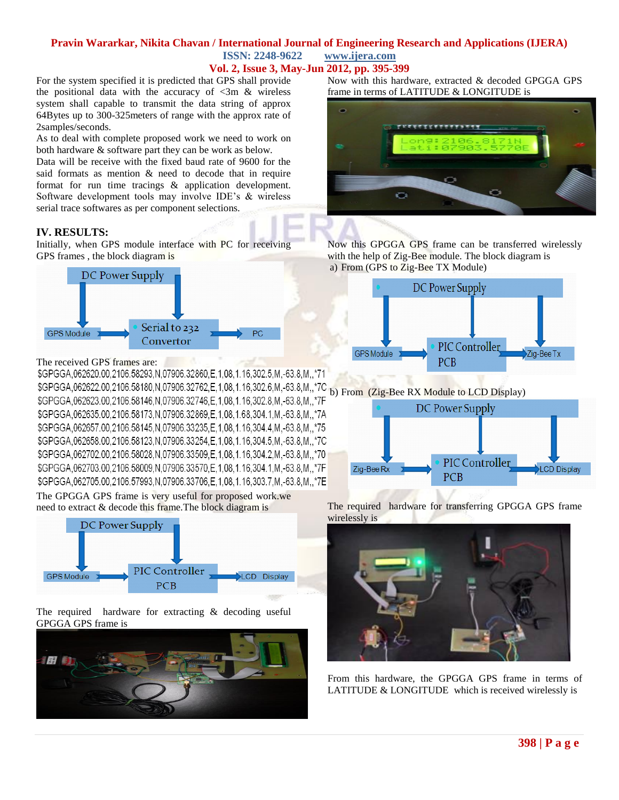#### **Pravin Wararkar, Nikita Chavan / International Journal of Engineering Research and Applications (IJERA) ISSN: 2248-9622 www.ijera.com Vol. 2, Issue 3, May-Jun 2012, pp. 395-399**

For the system specified it is predicted that GPS shall provide the positional data with the accuracy of  $\langle 3m \&$  wireless system shall capable to transmit the data string of approx 64Bytes up to 300-325meters of range with the approx rate of 2samples/seconds.

As to deal with complete proposed work we need to work on both hardware & software part they can be work as below.

Data will be receive with the fixed baud rate of 9600 for the said formats as mention & need to decode that in require format for run time tracings & application development. Software development tools may involve IDE's & wireless serial trace softwares as per component selections.

### **IV. RESULTS:**

Initially, when GPS module interface with PC for receiving GPS frames , the block diagram is



The received GPS frames are:

\$GPGGA,062620.00,2106.58293,N,07906.32860,E,1,08,1.16,302.5,M,-63.8,M,,\*71 \$GPGGA,062622.00,2106.58180,N,07906.32762,E,1,08,1.16,302.6,M,-63.8,M,,\*7C b) From (Zig-Bee RX Module to LCD Display) \$GPGGA,062623.00,2106.58146,N,07906.32746,E,1,08,1.16,302.8,M,-63.8,M,,\*7F \$GPGGA,062635.00,2106.58173,N,07906.32869,E,1,08,1.68,304.1,M,-63.8,M,,\*7A \$GPGGA,062657.00,2106.58145,N,07906.33235,E,1,08,1.16,304.4,M,-63.8,M,,\*75 \$GPGGA,062658.00,2106.58123,N,07906.33254,E,1,08,1.16,304.5,M,-63.8,M,,\*7C \$GPGGA,062702.00,2106.58028,N,07906.33509,E,1,08,1.16,304.2,M,-63.8,M,,\*70 \$GPGGA,062703.00,2106.58009,N,07906.33570,E,1,08,1.16,304.1,M,-63.8,M,,\*7F \$GPGGA,062705.00,2106.57993, N,07906.33706, E,1,08,1.16,303.7, M,-63.8, M,,\*7E

The GPGGA GPS frame is very useful for proposed work.we need to extract & decode this frame.The block diagram is



The required hardware for extracting & decoding useful GPGGA GPS frame is



Now with this hardware, extracted & decoded GPGGA GPS frame in terms of LATITUDE & LONGITUDE is



Now this GPGGA GPS frame can be transferred wirelessly with the help of Zig-Bee module. The block diagram is a) From (GPS to Zig-Bee TX Module)





The required hardware for transferring GPGGA GPS frame wirelessly is



From this hardware, the GPGGA GPS frame in terms of LATITUDE & LONGITUDE which is received wirelessly is